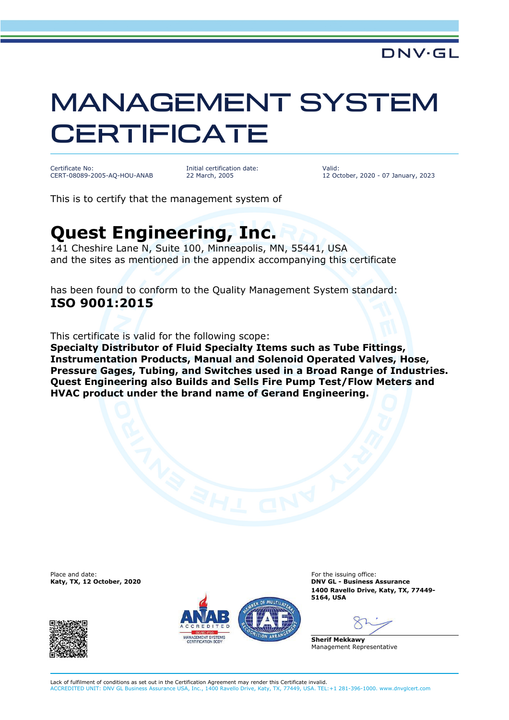## MANAGEMENT SYSTEM **CERTIFICATE**

Certificate No: CERT-08089-2005-AQ-HOU-ANAB Initial certification date: 22 March, 2005

Valid: 12 October, 2020 - 07 January, 2023

This is to certify that the management system of

## **Quest Engineering, Inc.**

141 Cheshire Lane N, Suite 100, Minneapolis, MN, 55441, USA and the sites as mentioned in the appendix accompanying this certificate

has been found to conform to the Quality Management System standard: **ISO 9001:2015**

This certificate is valid for the following scope:

**Specialty Distributor of Fluid Specialty Items such as Tube Fittings, Instrumentation Products, Manual and Solenoid Operated Valves, Hose, Pressure Gages, Tubing, and Switches used in a Broad Range of Industries. Quest Engineering also Builds and Sells Fire Pump Test/Flow Meters and HVAC product under the brand name of Gerand Engineering.**

Place and date: For the issuing office:<br> **For the issuing office:** For the issuing office:<br> **For the issuing office:** For the issuing office: **For the issuing office:** For the issuing office:





**DNV GL - Business Assurance 1400 Ravello Drive, Katy, TX, 77449- 5164, USA**

**Sherif Mekkawy** Management Representative